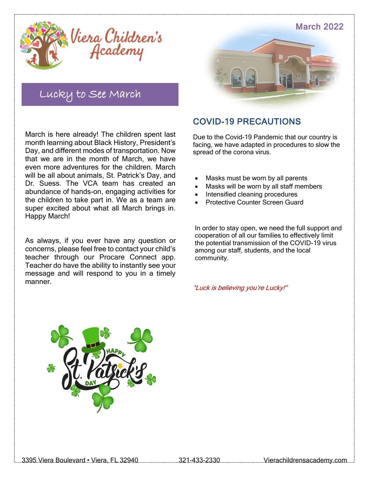

### Lucky to See March

March is here already! The children spent last month learning about Black History, President's Day, and different modes of transportation. Now that we are in the month of March, we have even more adventures for the children. March will be all about animals, St. Patrick's Day, and Dr. Suess. The VCA team has created an abundance of hands-on, engaging activities for the children to take part in. We as a team are super excited about what all March brings in. Happy March!

As always, if you ever have any question or concerns, please feel free to contact your child's teacher through our Procare Connect app. Teacher do have the ability to instantly see your message and will respond to you in a timely manner.



### COVID-19 PRECAUTIONS

Due to the Covid-19 Pandemic that our country is facing, we have adapted in procedures to slow the spread of the corona virus.

- Masks must be worn by all parents
- Masks will be worn by all staff members
- Intensified cleaning procedures
- Protective Counter Screen Guard

In order to stay open, we need the full support and cooperation of all our families to effectively limit the potential transmission of the COVID-19 virus among our staff, students, and the local community.

"Luck is believing you're Lucky!"